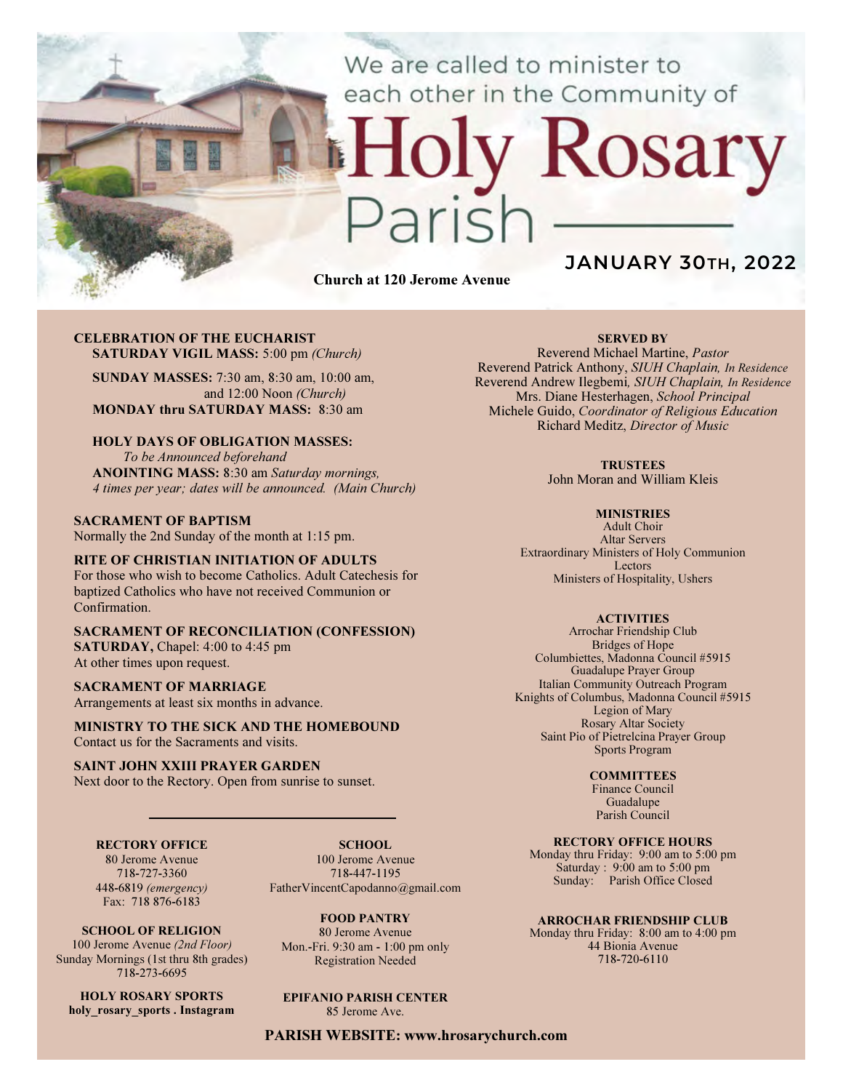We are called to minister to each other in the Community of

# Rosary

Church at 120 Jerome Avenue

# JANUARY 30TH, 2022

### CELEBRATION OF THE EUCHARIST SATURDAY VIGIL MASS: 5:00 pm (Church)

SUNDAY MASSES: 7:30 am, 8:30 am, 10:00 am, and 12:00 Noon (Church) MONDAY thru SATURDAY MASS: 8:30 am

# HOLY DAYS OF OBLIGATION MASSES:

To be Announced beforehand ANOINTING MASS: 8:30 am Saturday mornings, 4 times per year; dates will be announced. (Main Church)

### SACRAMENT OF BAPTISM

Normally the 2nd Sunday of the month at 1:15 pm.

### RITE OF CHRISTIAN INITIATION OF ADULTS

For those who wish to become Catholics. Adult Catechesis for baptized Catholics who have not received Communion or Confirmation.

### SACRAMENT OF RECONCILIATION (CONFESSION) SATURDAY, Chapel: 4:00 to 4:45 pm

At other times upon request.

### SACRAMENT OF MARRIAGE

Arrangements at least six months in advance.

MINISTRY TO THE SICK AND THE HOMEBOUND Contact us for the Sacraments and visits.

### SAINT JOHN XXIII PRAYER GARDEN

Next door to the Rectory. Open from sunrise to sunset.

### RECTORY OFFICE

80 Jerome Avenue 718-727-3360 448-6819 (emergency) Fax: 718 876-6183

SCHOOL. 100 Jerome Avenue 718-447-1195 FatherVincentCapodanno@gmail.com

SCHOOL OF RELIGION

100 Jerome Avenue (2nd Floor) Sunday Mornings (1st thru 8th grades) 718-273-6695

HOLY ROSARY SPORTS holy rosary sports . Instagram

FOOD PANTRY 80 Jerome Avenue Mon.-Fri. 9:30 am - 1:00 pm only Registration Needed

# EPIFANIO PARISH CENTER

85 Jerome Ave.

PARISH WEBSITE: www.hrosarychurch.com

### SERVED BY

Reverend Michael Martine, Pastor Reverend Patrick Anthony, SIUH Chaplain, In Residence Reverend Andrew Ilegbemi, SIUH Chaplain, In Residence Mrs. Diane Hesterhagen, School Principal Michele Guido, Coordinator of Religious Education Richard Meditz, Director of Music

### **TRUSTEES**

John Moran and William Kleis

### **MINISTRIES**

Adult Choir Altar Servers Extraordinary Ministers of Holy Communion Lectors Ministers of Hospitality, Ushers

### **ACTIVITIES**

Arrochar Friendship Club Bridges of Hope Columbiettes, Madonna Council #5915 Guadalupe Prayer Group Italian Community Outreach Program Knights of Columbus, Madonna Council #5915 Legion of Mary Rosary Altar Society Saint Pio of Pietrelcina Prayer Group Sports Program

### **COMMITTEES**

Finance Council Guadalupe Parish Council

### RECTORY OFFICE HOURS

Monday thru Friday: 9:00 am to 5:00 pm Saturday : 9:00 am to 5:00 pm Sunday: Parish Office Closed

### ARROCHAR FRIENDSHIP CLUB

Monday thru Friday: 8:00 am to 4:00 pm 44 Bionia Avenue 718-720-6110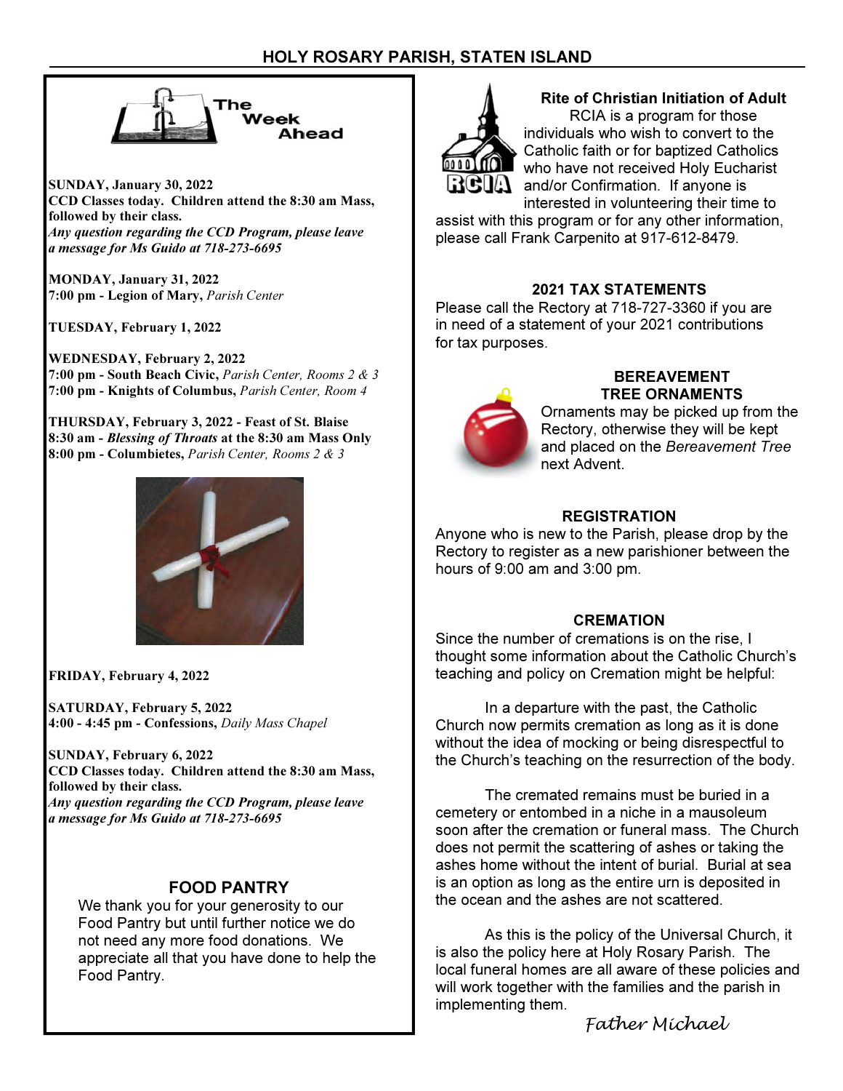

SUNDAY, January 30, 2022 CCD Classes today. Children attend the 8:30 am Mass, followed by their class. Any question regarding the CCD Program, please leave a message for Ms Guido at 718-273-6695

MONDAY, January 31, 2022 7:00 pm - Legion of Mary, Parish Center

TUESDAY, February 1, 2022

WEDNESDAY, February 2, 2022 7:00 pm - South Beach Civic, Parish Center, Rooms 2 & 3 7:00 pm - Knights of Columbus, Parish Center, Room 4

THURSDAY, February 3, 2022 - Feast of St. Blaise 8:30 am - Blessing of Throats at the 8:30 am Mass Only 8:00 pm - Columbietes, Parish Center, Rooms 2 & 3



FRIDAY, February 4, 2022

SATURDAY, February 5, 2022 4:00 - 4:45 pm - Confessions, Daily Mass Chapel

SUNDAY, February 6, 2022 CCD Classes today. Children attend the 8:30 am Mass, followed by their class. Any question regarding the CCD Program, please leave a message for Ms Guido at 718-273-6695

# FOOD PANTRY

We thank you for your generosity to our Food Pantry but until further notice we do not need any more food donations. We appreciate all that you have done to help the Food Pantry.



### Rite of Christian Initiation of Adult RCIA is a program for those

individuals who wish to convert to the Catholic faith or for baptized Catholics who have not received Holy Eucharist  $\mathbf{ii} \mathbf{G} \mathbf{u}$  and/or Confirmation. If anyone is interested in volunteering their time to

assist with this program or for any other information, please call Frank Carpenito at 917-612-8479.

# 2021 TAX STATEMENTS

Please call the Rectory at 718-727-3360 if you are in need of a statement of your 2021 contributions for tax purposes.



# BEREAVEMENT TREE ORNAMENTS

Ornaments may be picked up from the Rectory, otherwise they will be kept and placed on the Bereavement Tree next Advent.

# **REGISTRATION**

Anyone who is new to the Parish, please drop by the Rectory to register as a new parishioner between the hours of 9:00 am and 3:00 pm.

# **CREMATION**

Since the number of cremations is on the rise, I thought some information about the Catholic Church's teaching and policy on Cremation might be helpful:

 In a departure with the past, the Catholic Church now permits cremation as long as it is done without the idea of mocking or being disrespectful to the Church's teaching on the resurrection of the body.

 The cremated remains must be buried in a cemetery or entombed in a niche in a mausoleum soon after the cremation or funeral mass. The Church does not permit the scattering of ashes or taking the ashes home without the intent of burial. Burial at sea is an option as long as the entire urn is deposited in the ocean and the ashes are not scattered.

 As this is the policy of the Universal Church, it is also the policy here at Holy Rosary Parish. The local funeral homes are all aware of these policies and will work together with the families and the parish in implementing them.

Father Michael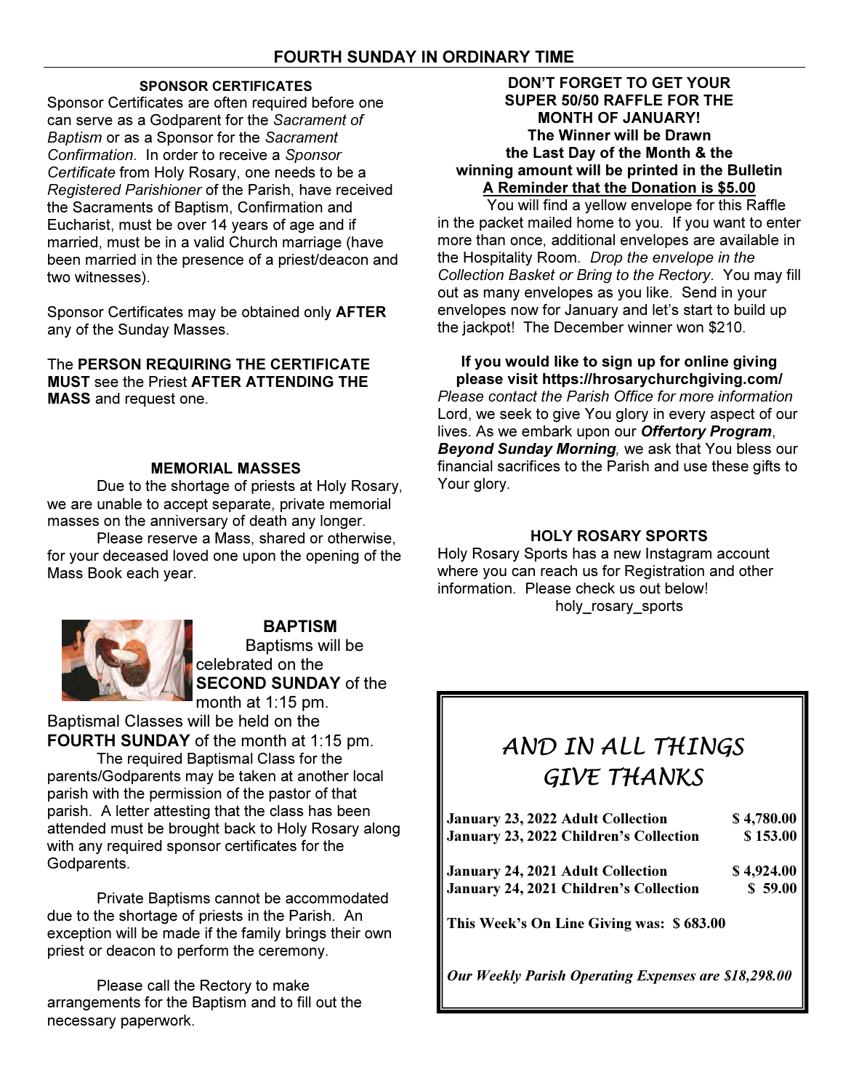# SPONSOR CERTIFICATES

Sponsor Certificates are often required before one can serve as a Godparent for the Sacrament of Baptism or as a Sponsor for the Sacrament Confirmation. In order to receive a Sponsor Certificate from Holy Rosary, one needs to be a Registered Parishioner of the Parish, have received the Sacraments of Baptism, Confirmation and Eucharist, must be over 14 years of age and if married, must be in a valid Church marriage (have been married in the presence of a priest/deacon and two witnesses).

Sponsor Certificates may be obtained only AFTER any of the Sunday Masses.

The PERSON REQUIRING THE CERTIFICATE MUST see the Priest AFTER ATTENDING THE MASS and request one.

# MEMORIAL MASSES

 Due to the shortage of priests at Holy Rosary, we are unable to accept separate, private memorial masses on the anniversary of death any longer.

 Please reserve a Mass, shared or otherwise, for your deceased loved one upon the opening of the Mass Book each year.



BAPTISM Baptisms will be celebrated on the SECOND SUNDAY of the month at 1:15 pm.

Baptismal Classes will be held on the FOURTH SUNDAY of the month at 1:15 pm.

The required Baptismal Class for the parents/Godparents may be taken at another local parish with the permission of the pastor of that parish. A letter attesting that the class has been attended must be brought back to Holy Rosary along with any required sponsor certificates for the Godparents.

 Private Baptisms cannot be accommodated due to the shortage of priests in the Parish. An exception will be made if the family brings their own priest or deacon to perform the ceremony.

 Please call the Rectory to make arrangements for the Baptism and to fill out the necessary paperwork.

# DON'T FORGET TO GET YOUR SUPER 50/50 RAFFLE FOR THE MONTH OF JANUARY! The Winner will be Drawn the Last Day of the Month & the winning amount will be printed in the Bulletin A Reminder that the Donation is \$5.00

 You will find a yellow envelope for this Raffle in the packet mailed home to you. If you want to enter more than once, additional envelopes are available in the Hospitality Room. Drop the envelope in the Collection Basket or Bring to the Rectory. You may fill out as many envelopes as you like. Send in your envelopes now for January and let's start to build up the jackpot! The December winner won \$210.

If you would like to sign up for online giving please visit https://hrosarychurchgiving.com/

Please contact the Parish Office for more information Lord, we seek to give You glory in every aspect of our lives. As we embark upon our Offertory Program, Beyond Sunday Morning, we ask that You bless our financial sacrifices to the Parish and use these gifts to Your glory.

# HOLY ROSARY SPORTS

Holy Rosary Sports has a new Instagram account where you can reach us for Registration and other information. Please check us out below! holy\_rosary\_sports

# AND IN ALL THINGS GIVE THANKS

| January 23, 2022 Adult Collection        | \$4,780.00 |
|------------------------------------------|------------|
| January 23, 2022 Children's Collection   | \$153.00   |
| <b>January 24, 2021 Adult Collection</b> | \$4,924.00 |
| January 24, 2021 Children's Collection   | \$59.00    |
| This Week's On Line Giving was: \$683.00 |            |

Our Weekly Parish Operating Expenses are \$18,298.00